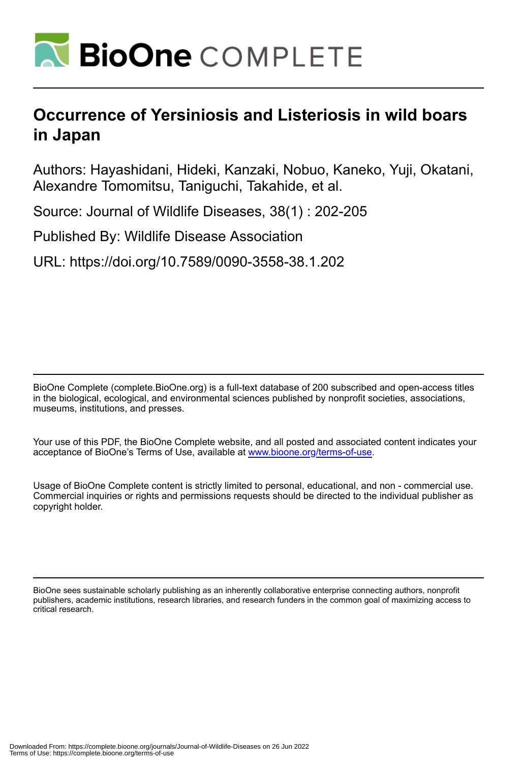

## **Occurrence of Yersiniosis and Listeriosis in wild boars in Japan**

Authors: Hayashidani, Hideki, Kanzaki, Nobuo, Kaneko, Yuji, Okatani, Alexandre Tomomitsu, Taniguchi, Takahide, et al.

Source: Journal of Wildlife Diseases, 38(1) : 202-205

Published By: Wildlife Disease Association

URL: https://doi.org/10.7589/0090-3558-38.1.202

BioOne Complete (complete.BioOne.org) is a full-text database of 200 subscribed and open-access titles in the biological, ecological, and environmental sciences published by nonprofit societies, associations, museums, institutions, and presses.

Your use of this PDF, the BioOne Complete website, and all posted and associated content indicates your acceptance of BioOne's Terms of Use, available at www.bioone.org/terms-of-use.

Usage of BioOne Complete content is strictly limited to personal, educational, and non - commercial use. Commercial inquiries or rights and permissions requests should be directed to the individual publisher as copyright holder.

BioOne sees sustainable scholarly publishing as an inherently collaborative enterprise connecting authors, nonprofit publishers, academic institutions, research libraries, and research funders in the common goal of maximizing access to critical research.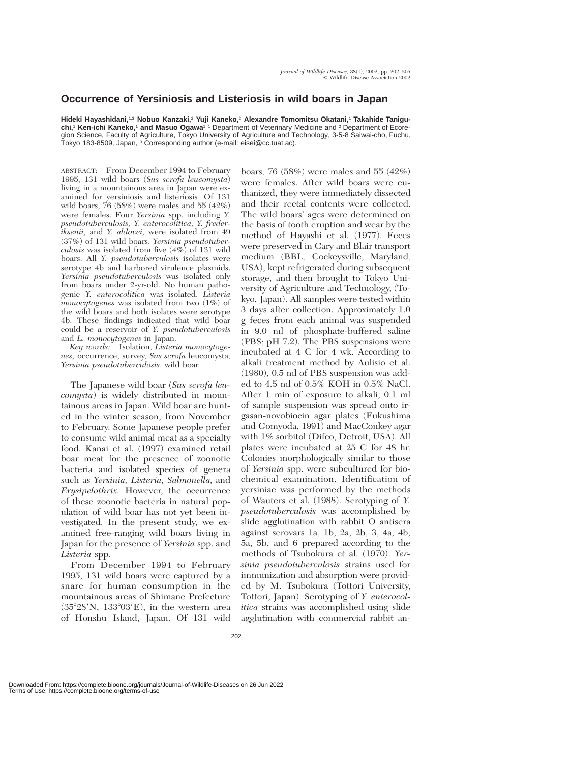## **Occurrence of Yersiniosis and Listeriosis in wild boars in Japan**

**Hideki Hayashidani,**1,3 **Nobuo Kanzaki,**<sup>2</sup> **Yuji Kaneko,**<sup>2</sup> **Alexandre Tomomitsu Okatani,**<sup>1</sup> **Takahide Taniguchi,**<sup>1</sup> **Ken-ichi Kaneko,**<sup>1</sup> **and Masuo Ogawa**1 1 Department of Veterinary Medicine and <sup>2</sup> Department of Ecoregion Science, Faculty of Agriculture, Tokyo University of Agriculture and Technology, 3-5-8 Saiwai-cho, Fuchu, Tokyo 183-8509, Japan, <sup>3</sup> Corresponding author (e-mail: eisei@cc.tuat.ac).

ABSTRACT: From December 1994 to February 1995, 131 wild boars (*Sus scrofa leucomysta*) living in a mountainous area in Japan were examined for yersiniosis and listeriosis*.* Of 131 wild boars,  $76$  (58%) were males and 55 (42%) were females. Four *Yersinia* spp. including *Y. pseudotuberculosis, Y. enterocolitica, Y. frederiksenii,* and *Y. aldovei,* were isolated from 49 (37%) of 131 wild boars. *Yersinia pseudotuberculosis* was isolated from five (4%) of 131 wild boars. All *Y. pseudotuberculosis* isolates were serotype 4b and harbored virulence plasmids. *Yersinia pseudotuberculosis* was isolated only from boars under 2-yr-old. No human pathogenic *Y. enterocolitica* was isolated. *Listeria monocytogenes* was isolated from two (1%) of the wild boars and both isolates were serotype 4b. These findings indicated that wild boar could be a reservoir of *Y. pseudotuberculosis* and *L. monocytogenes* in Japan.

*Key words:* Isolation, *Listeria monocytogenes,* occurrence, survey, *Sus scrofa* leucomysta, *Yersinia pseudotuberculosis,* wild boar.

The Japanese wild boar (*Sus scrofa leucomysta*) is widely distributed in mountainous areas in Japan. Wild boar are hunted in the winter season, from November to February. Some Japanese people prefer to consume wild animal meat as a specialty food. Kanai et al. (1997) examined retail boar meat for the presence of zoonotic bacteria and isolated species of genera such as *Yersinia, Listeria, Salmonella,* and *Erysipelothrix.* However, the occurrence of these zoonotic bacteria in natural population of wild boar has not yet been investigated. In the present study, we examined free-ranging wild boars living in Japan for the presence of *Yersinia* spp. and *Listeria* spp.

From December 1994 to February 1995, 131 wild boars were captured by a snare for human consumption in the mountainous areas of Shimane Prefecture  $(35°28'N, 133°03'E)$ , in the western area of Honshu Island, Japan. Of 131 wild

boars, 76 (58%) were males and 55 (42%) were females. After wild boars were euthanized, they were immediately dissected and their rectal contents were collected. The wild boars' ages were determined on the basis of tooth eruption and wear by the method of Hayashi et al. (1977). Feces were preserved in Cary and Blair transport medium (BBL, Cockeysville, Maryland, USA), kept refrigerated during subsequent storage, and then brought to Tokyo University of Agriculture and Technology, (Tokyo, Japan). All samples were tested within 3 days after collection. Approximately 1.0 g feces from each animal was suspended in 9.0 ml of phosphate-buffered saline (PBS; pH 7.2). The PBS suspensions were incubated at 4 C for 4 wk. According to alkali treatment method by Aulisio et al. (1980), 0.5 ml of PBS suspension was added to 4.5 ml of 0.5% KOH in 0.5% NaCl. After 1 min of exposure to alkali, 0.1 ml of sample suspension was spread onto irgasan-novobiocin agar plates (Fukushima and Gomyoda, 1991) and MacConkey agar with 1% sorbitol (Difco, Detroit, USA). All plates were incubated at 25 C for 48 hr. Colonies morphologically similar to those of *Yersinia* spp. were subcultured for biochemical examination. Identification of yersiniae was performed by the methods of Wauters et al. (1988). Serotyping of *Y. pseudotuberculosis* was accomplished by slide agglutination with rabbit O antisera against serovars 1a, 1b, 2a, 2b, 3, 4a, 4b, 5a, 5b, and 6 prepared according to the methods of Tsubokura et al. (1970). *Yersinia pseudotuberculosis* strains used for immunization and absorption were provided by M. Tsubokura (Tottori University, Tottori, Japan). Serotyping of *Y. enterocolitica* strains was accomplished using slide agglutination with commercial rabbit an-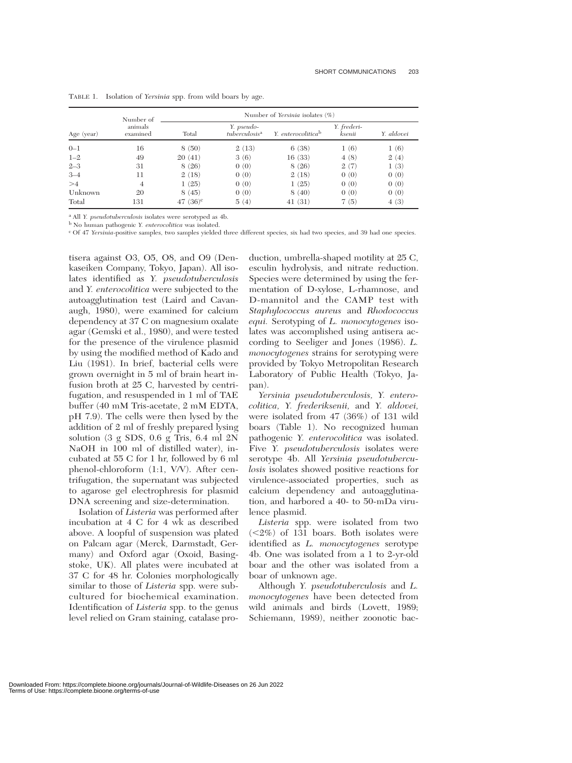| Age (year) | Number of<br>animals<br>examined | Number of Yersinia isolates $(\%)$ |                                         |                                |                       |            |
|------------|----------------------------------|------------------------------------|-----------------------------------------|--------------------------------|-----------------------|------------|
|            |                                  | Total                              | Y. pseudo-<br>tuberculosis <sup>a</sup> | Y. enterocolitica <sup>b</sup> | Y. frederi-<br>ksenii | Y. aldovei |
| $0 - 1$    | 16                               | 8(50)                              | 2(13)                                   | 6(38)                          | 1(6)                  | 1(6)       |
| $1 - 2$    | 49                               | 20(41)                             | 3(6)                                    | 16(33)                         | 4(8)                  | 2(4)       |
| $2 - 3$    | 31                               | 8(26)                              | 0(0)                                    | 8(26)                          | 2(7)                  | 1(3)       |
| $3 - 4$    | 11                               | 2(18)                              | 0(0)                                    | 2(18)                          | 0(0)                  | 0(0)       |
| >4         | 4                                | 1(25)                              | 0(0)                                    | 1(25)                          | 0(0)                  | 0(0)       |
| Unknown    | 20                               | 8(45)                              | 0(0)                                    | 8(40)                          | 0(0)                  | 0(0)       |
| Total      | 131                              | 47 $(36)^c$                        | 5(4)                                    | 41(31)                         | 7(5)                  | 4(3)       |

TABLE 1. Isolation of *Yersinia* spp. from wild boars by age.

<sup>a</sup> All *Y. pseudotuberculosis* isolates were serotyped as 4b.

<sup>b</sup> No human pathogenic *Y. enterocolitica* was isolated.

<sup>c</sup> Of 47 *Yersinia*-positive samples, two samples yielded three different species, six had two species, and 39 had one species.

tisera against O3, O5, O8, and O9 (Denkaseiken Company, Tokyo, Japan). All isolates identified as *Y. pseudotuberculosis* and *Y. enterocolitica* were subjected to the autoagglutination test (Laird and Cavanaugh, 1980), were examined for calcium dependency at 37 C on magnesium oxalate agar (Gemski et al., 1980), and were tested for the presence of the virulence plasmid by using the modified method of Kado and Liu (1981). In brief, bacterial cells were grown overnight in 5 ml of brain heart infusion broth at 25 C, harvested by centrifugation, and resuspended in 1 ml of TAE buffer (40 mM Tris-acetate, 2 mM EDTA, pH 7.9). The cells were then lysed by the addition of 2 ml of freshly prepared lysing solution (3 g SDS, 0.6 g Tris, 6.4 ml 2N NaOH in 100 ml of distilled water), incubated at 55 C for 1 hr, followed by 6 ml phenol-chloroform (1:1, V/V). After centrifugation, the supernatant was subjected to agarose gel electrophresis for plasmid DNA screening and size-determination.

Isolation of *Listeria* was performed after incubation at 4 C for 4 wk as described above. A loopful of suspension was plated on Palcam agar (Merck, Darmstadt, Germany) and Oxford agar (Oxoid, Basingstoke, UK). All plates were incubated at 37 C for 48 hr. Colonies morphologically similar to those of *Listeria* spp. were subcultured for biochemical examination. Identification of *Listeria* spp. to the genus level relied on Gram staining, catalase pro-

duction, umbrella-shaped motility at 25 C, esculin hydrolysis, and nitrate reduction. Species were determined by using the fermentation of D-xylose, L-rhamnose, and D-mannitol and the CAMP test with *Staphylococcus aureus* and *Rhodococcus equi.* Serotyping of *L. monocytogenes* isolates was accomplished using antisera according to Seeliger and Jones (1986). *L. monocytogenes* strains for serotyping were provided by Tokyo Metropolitan Research Laboratory of Public Health (Tokyo, Japan).

*Yersinia pseudotuberculosis, Y. enterocolitica, Y. frederiksenii,* and *Y. aldovei,* were isolated from 47 (36%) of 131 wild boars (Table 1). No recognized human pathogenic *Y. enterocolitica* was isolated. Five *Y. pseudotuberculosis* isolates were serotype 4b. All *Yersinia pseudotuberculosis* isolates showed positive reactions for virulence-associated properties, such as calcium dependency and autoagglutination, and harbored a 40- to 50-mDa virulence plasmid.

*Listeria* spp. were isolated from two  $\langle 2\% \rangle$  of 131 boars. Both isolates were identified as *L. monocytogenes* serotype 4b. One was isolated from a 1 to 2-yr-old boar and the other was isolated from a boar of unknown age.

Although *Y. pseudotuberculosis* and *L. monocytogenes* have been detected from wild animals and birds (Lovett, 1989; Schiemann, 1989), neither zoonotic bac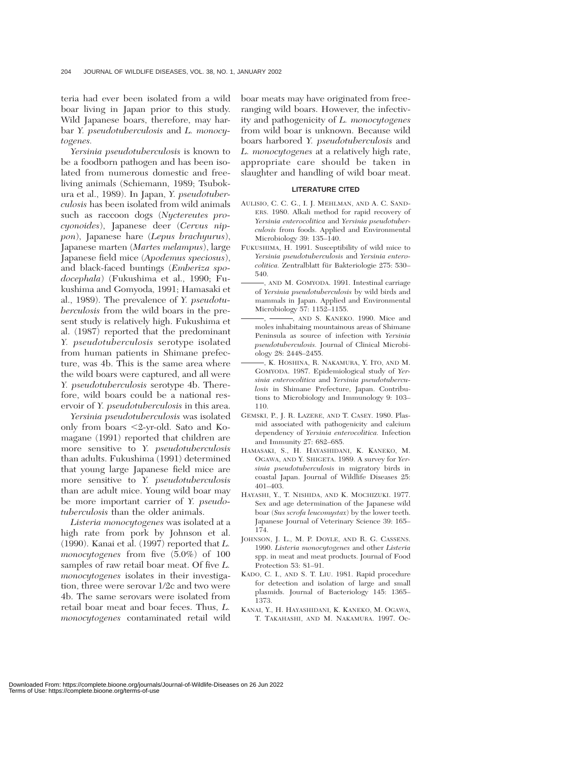teria had ever been isolated from a wild boar living in Japan prior to this study. Wild Japanese boars, therefore, may harbar *Y. pseudotuberculosis* and *L. monocytogenes.*

*Yersinia pseudotuberculosis* is known to be a foodborn pathogen and has been isolated from numerous domestic and freeliving animals (Schiemann, 1989; Tsubokura et al., 1989). In Japan, *Y. pseudotuberculosis* has been isolated from wild animals such as raccoon dogs (*Nyctereutes procyonoides*), Japanese deer (*Cervus nippon*), Japanese hare (*Lepus brachyurus*), Japanese marten (*Martes melampus*), large Japanese field mice (*Apodemus speciosus*), and black-faced buntings (*Emberiza spodocephala*) (Fukushima et al., 1990; Fukushima and Gomyoda, 1991; Hamasaki et al., 1989). The prevalence of *Y. pseudotuberculosis* from the wild boars in the present study is relatively high. Fukushima et al. (1987) reported that the predominant *Y. pseudotuberculosis* serotype isolated from human patients in Shimane prefecture, was 4b. This is the same area where the wild boars were captured, and all were *Y. pseudotuberculosis* serotype 4b. Therefore, wild boars could be a national reservoir of *Y. pseudotuberculosis* in this area.

*Yersinia pseudotuberculosis* was isolated only from boars 2-yr-old. Sato and Komagane (1991) reported that children are more sensitive to *Y. pseudotuberculosis* than adults. Fukushima (1991) determined that young large Japanese field mice are more sensitive to *Y. pseudotuberculosis* than are adult mice. Young wild boar may be more important carrier of *Y. pseudotuberculosis* than the older animals.

*Listeria monocytogenes* was isolated at a high rate from pork by Johnson et al. (1990). Kanai et al. (1997) reported that *L. monocytogenes* from five (5.0%) of 100 samples of raw retail boar meat. Of five *L. monocytogenes* isolates in their investigation, three were serovar 1/2c and two were 4b. The same serovars were isolated from retail boar meat and boar feces. Thus, *L. monocytogenes* contaminated retail wild

boar meats may have originated from freeranging wild boars. However, the infectivity and pathogenicity of *L. monocytogenes* from wild boar is unknown. Because wild boars harbored *Y. pseudotuberculosis* and *L. monocytogenes* at a relatively high rate, appropriate care should be taken in slaughter and handling of wild boar meat.

## **LITERATURE CITED**

- AULISIO, C. C. G., I. J. MEHLMAN, AND A. C. SAND-ERS. 1980. Alkali method for rapid recovery of *Yersinia enterocolitica* and *Yersinia pseudotuberculosis* from foods. Applied and Environmental Microbiology 39: 135–140.
- FUKUSHIMA, H. 1991. Susceptibility of wild mice to *Yersinia pseudotuberculosis* and *Yersinia enterocolitica*. Zentralblatt für Bakteriologie 275: 530– 540.
- , AND M. GOMYODA. 1991. Intestinal carriage of *Yersinia pseudotuberculosis* by wild birds and mammals in Japan. Applied and Environmental Microbiology 57: 1152–1155.
- -, AND S. KANEKO. 1990. Mice and moles inhabitaing mountainous areas of Shimane Peninsula as source of infection with *Yersinia pseudotuberculosis.* Journal of Clinical Microbiology 28: 2448–2455.
- , K. HOSHINA, R. NAKAMURA, Y. ITO, AND M. GOMYODA. 1987. Epidemiological study of *Yersinia enterocolitica* and *Yersinia pseudotuberculosis* in Shimane Prefecture, Japan. Contributions to Microbiology and Immunology 9: 103– 110.
- GEMSKI, P., J. R. LAZERE, AND T. CASEY. 1980. Plasmid associated with pathogenicity and calcium dependency of *Yersinia enterocolitica.* Infection and Immunity 27: 682–685.
- HAMASAKI, S., H. HAYASHIDANI, K. KANEKO, M. OGAWA, AND Y. SHIGETA. 1989. A survey for *Yersinia pseudotuberculosis* in migratory birds in coastal Japan. Journal of Wildlife Diseases 25: 401–403.
- HAYASHI, Y., T. NISHIDA, AND K. MOCHIZUKI. 1977. Sex and age determination of the Japanese wild boar (*Sus scrofa leucomystax*) by the lower teeth. Japanese Journal of Veterinary Science 39: 165– 174.
- JOHNSON, J. L., M. P. DOYLE, AND R. G. CASSENS. 1990. *Listeria monocytogenes* and other *Listeria* spp. in meat and meat products. Journal of Food Protection 53: 81–91.
- KADO, C. I., AND S. T. LIU. 1981. Rapid procedure for detection and isolation of large and small plasmids. Journal of Bacteriology 145: 1365– 1373.
- KANAI, Y., H. HAYASHIDANI, K. KANEKO, M. OGAWA, T. TAKAHASHI, AND M. NAKAMURA. 1997. Oc-